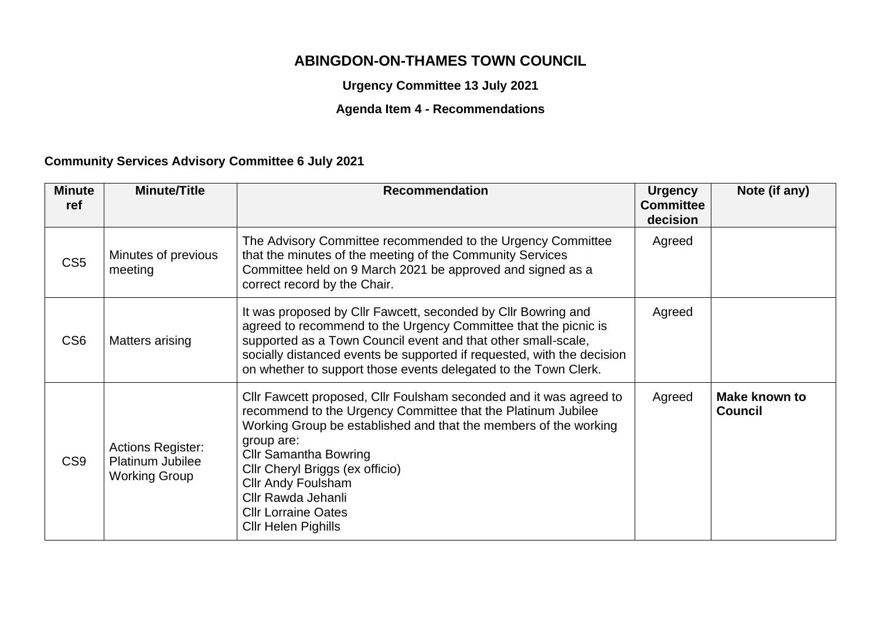## **ABINGDON-ON-THAMES TOWN COUNCIL**

**Urgency Committee 13 July 2021**

## **Agenda Item 4 - Recommendations**

## **Community Services Advisory Committee 6 July 2021**

| <b>Minute</b><br>ref | <b>Minute/Title</b>                                                         | <b>Recommendation</b>                                                                                                                                                                                                                                                                                                                                                                                  | <b>Urgency</b><br><b>Committee</b><br>decision | Note (if any)                          |
|----------------------|-----------------------------------------------------------------------------|--------------------------------------------------------------------------------------------------------------------------------------------------------------------------------------------------------------------------------------------------------------------------------------------------------------------------------------------------------------------------------------------------------|------------------------------------------------|----------------------------------------|
| CS <sub>5</sub>      | Minutes of previous<br>meeting                                              | The Advisory Committee recommended to the Urgency Committee<br>that the minutes of the meeting of the Community Services<br>Committee held on 9 March 2021 be approved and signed as a<br>correct record by the Chair.                                                                                                                                                                                 | Agreed                                         |                                        |
| CS <sub>6</sub>      | Matters arising                                                             | It was proposed by Cllr Fawcett, seconded by Cllr Bowring and<br>agreed to recommend to the Urgency Committee that the picnic is<br>supported as a Town Council event and that other small-scale,<br>socially distanced events be supported if requested, with the decision<br>on whether to support those events delegated to the Town Clerk.                                                         | Agreed                                         |                                        |
| CS <sub>9</sub>      | <b>Actions Register:</b><br><b>Platinum Jubilee</b><br><b>Working Group</b> | Cllr Fawcett proposed, Cllr Foulsham seconded and it was agreed to<br>recommend to the Urgency Committee that the Platinum Jubilee<br>Working Group be established and that the members of the working<br>group are:<br><b>Cllr Samantha Bowring</b><br>Cllr Cheryl Briggs (ex officio)<br><b>Cllr Andy Foulsham</b><br>Cllr Rawda Jehanli<br><b>Cllr Lorraine Oates</b><br><b>Cllr Helen Pighills</b> | Agreed                                         | <b>Make known to</b><br><b>Council</b> |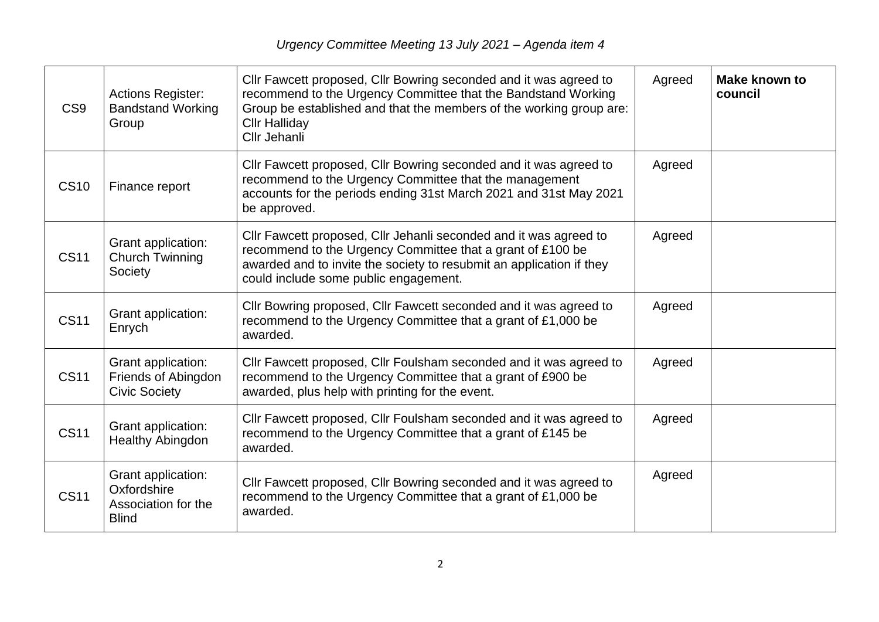| CS <sub>9</sub> | <b>Actions Register:</b><br><b>Bandstand Working</b><br>Group            | CIIr Fawcett proposed, CIIr Bowring seconded and it was agreed to<br>recommend to the Urgency Committee that the Bandstand Working<br>Group be established and that the members of the working group are:<br><b>Cllr Halliday</b><br>Cllr Jehanli | Agreed | <b>Make known to</b><br>council |
|-----------------|--------------------------------------------------------------------------|---------------------------------------------------------------------------------------------------------------------------------------------------------------------------------------------------------------------------------------------------|--------|---------------------------------|
| <b>CS10</b>     | Finance report                                                           | CIIr Fawcett proposed, CIIr Bowring seconded and it was agreed to<br>recommend to the Urgency Committee that the management<br>accounts for the periods ending 31st March 2021 and 31st May 2021<br>be approved.                                  | Agreed |                                 |
| <b>CS11</b>     | Grant application:<br>Church Twinning<br>Society                         | CIIr Fawcett proposed, CIIr Jehanli seconded and it was agreed to<br>recommend to the Urgency Committee that a grant of £100 be<br>awarded and to invite the society to resubmit an application if they<br>could include some public engagement.  | Agreed |                                 |
| <b>CS11</b>     | Grant application:<br>Enrych                                             | CIIr Bowring proposed, CIIr Fawcett seconded and it was agreed to<br>recommend to the Urgency Committee that a grant of £1,000 be<br>awarded.                                                                                                     | Agreed |                                 |
| <b>CS11</b>     | Grant application:<br>Friends of Abingdon<br><b>Civic Society</b>        | Cllr Fawcett proposed, Cllr Foulsham seconded and it was agreed to<br>recommend to the Urgency Committee that a grant of £900 be<br>awarded, plus help with printing for the event.                                                               | Agreed |                                 |
| <b>CS11</b>     | Grant application:<br><b>Healthy Abingdon</b>                            | CIIr Fawcett proposed, CIIr Foulsham seconded and it was agreed to<br>recommend to the Urgency Committee that a grant of £145 be<br>awarded.                                                                                                      | Agreed |                                 |
| <b>CS11</b>     | Grant application:<br>Oxfordshire<br>Association for the<br><b>Blind</b> | Cllr Fawcett proposed, Cllr Bowring seconded and it was agreed to<br>recommend to the Urgency Committee that a grant of £1,000 be<br>awarded.                                                                                                     | Agreed |                                 |